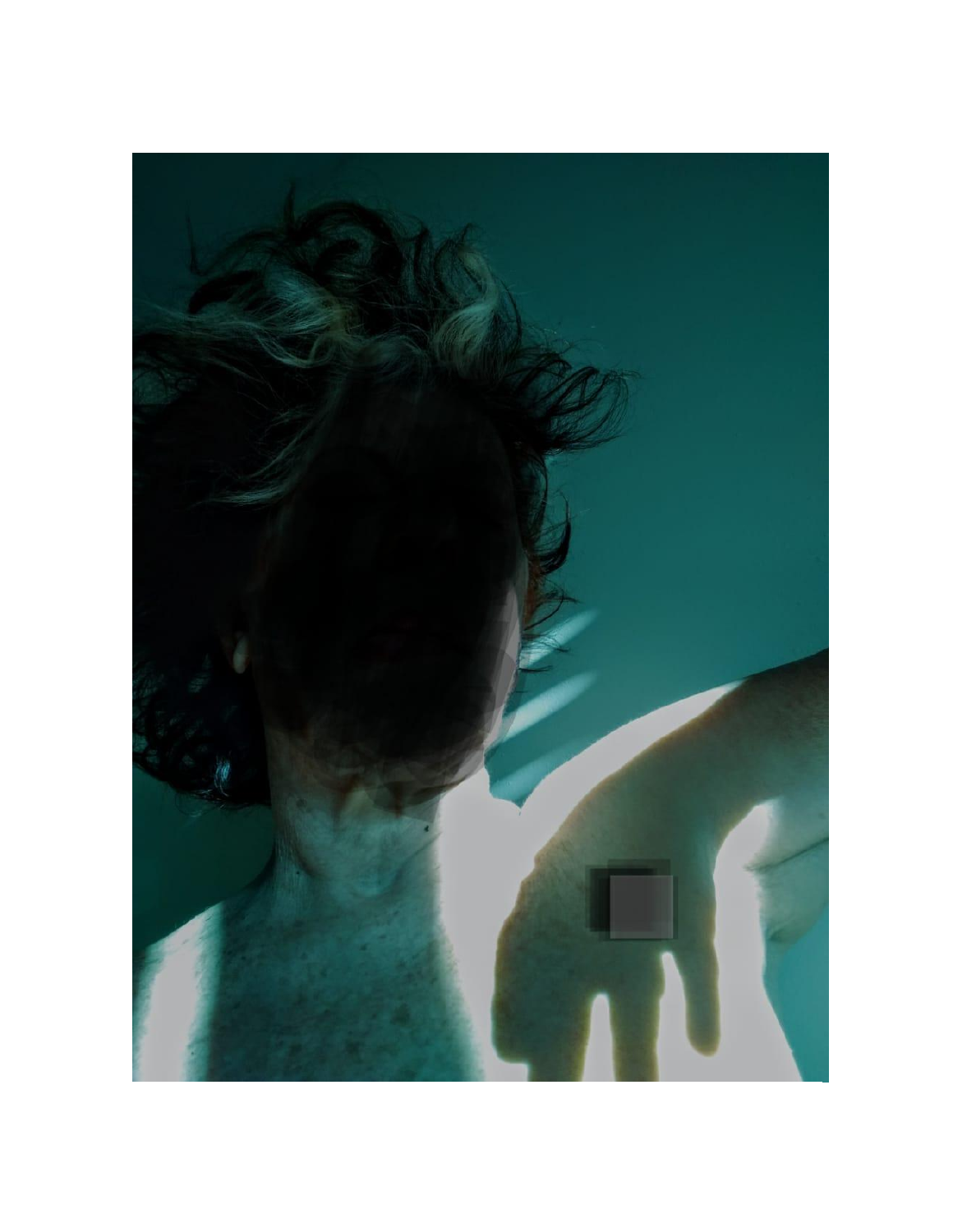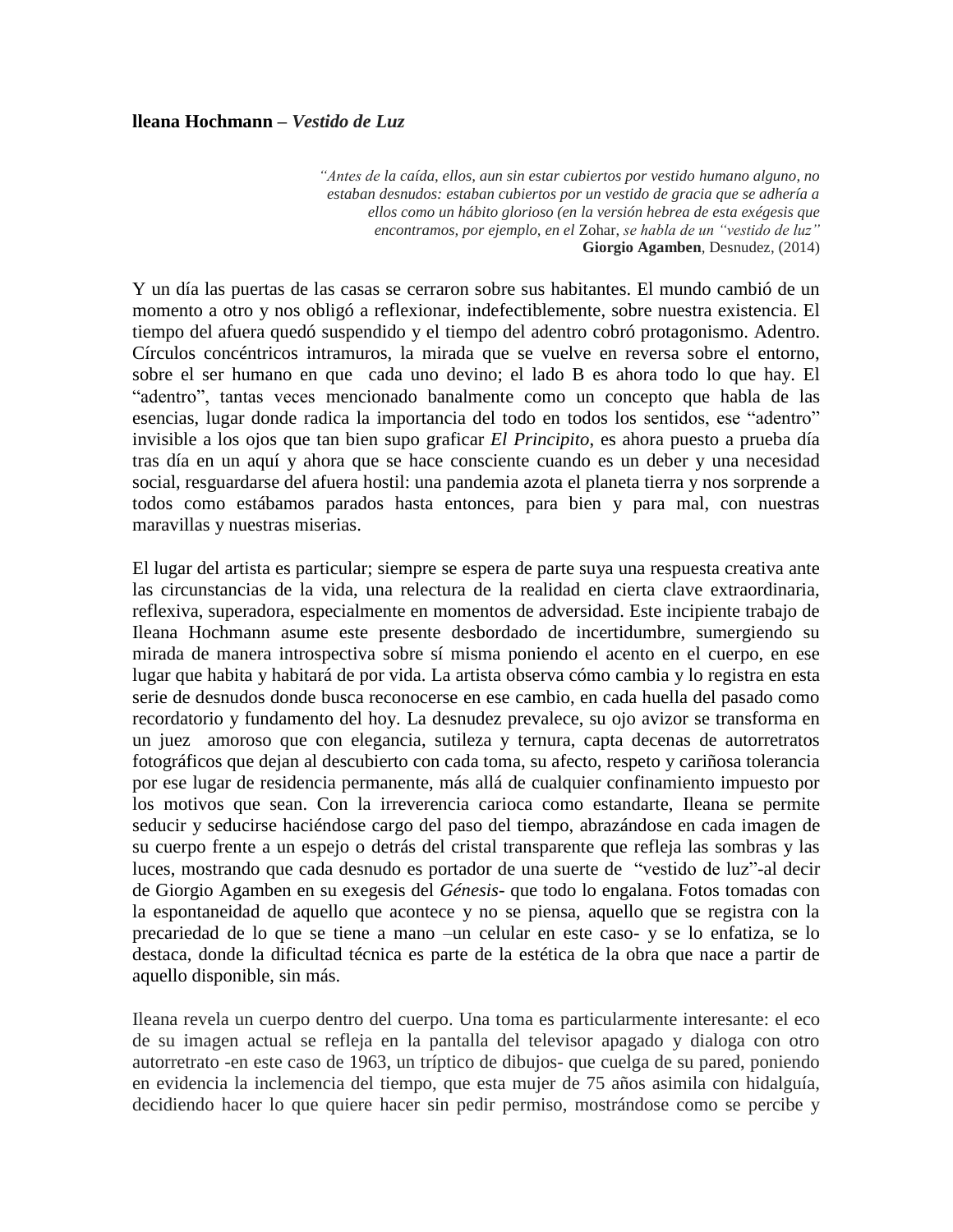## **lleana Hochmann –** *Vestido de Luz*

*"Antes de la caída, ellos, aun sin estar cubiertos por vestido humano alguno, no estaban desnudos: estaban cubiertos por un vestido de gracia que se adhería a ellos como un hábito glorioso (en la versión hebrea de esta exégesis que encontramos, por ejemplo, en el* Zohar, *se habla de un "vestido de luz"* **Giorgio Agamben***,* Desnudez, (2014)

Y un día las puertas de las casas se cerraron sobre sus habitantes. El mundo cambió de un momento a otro y nos obligó a reflexionar, indefectiblemente, sobre nuestra existencia. El tiempo del afuera quedó suspendido y el tiempo del adentro cobró protagonismo. Adentro. Círculos concéntricos intramuros, la mirada que se vuelve en reversa sobre el entorno, sobre el ser humano en que cada uno devino; el lado B es ahora todo lo que hay. El "adentro", tantas veces mencionado banalmente como un concepto que habla de las esencias, lugar donde radica la importancia del todo en todos los sentidos, ese "adentro" invisible a los ojos que tan bien supo graficar *El Principito*, es ahora puesto a prueba día tras día en un aquí y ahora que se hace consciente cuando es un deber y una necesidad social, resguardarse del afuera hostil: una pandemia azota el planeta tierra y nos sorprende a todos como estábamos parados hasta entonces, para bien y para mal, con nuestras maravillas y nuestras miserias.

El lugar del artista es particular; siempre se espera de parte suya una respuesta creativa ante las circunstancias de la vida, una relectura de la realidad en cierta clave extraordinaria, reflexiva, superadora, especialmente en momentos de adversidad. Este incipiente trabajo de Ileana Hochmann asume este presente desbordado de incertidumbre, sumergiendo su mirada de manera introspectiva sobre sí misma poniendo el acento en el cuerpo, en ese lugar que habita y habitará de por vida. La artista observa cómo cambia y lo registra en esta serie de desnudos donde busca reconocerse en ese cambio, en cada huella del pasado como recordatorio y fundamento del hoy. La desnudez prevalece, su ojo avizor se transforma en un juez amoroso que con elegancia, sutileza y ternura, capta decenas de autorretratos fotográficos que dejan al descubierto con cada toma, su afecto, respeto y cariñosa tolerancia por ese lugar de residencia permanente, más allá de cualquier confinamiento impuesto por los motivos que sean. Con la irreverencia carioca como estandarte, Ileana se permite seducir y seducirse haciéndose cargo del paso del tiempo, abrazándose en cada imagen de su cuerpo frente a un espejo o detrás del cristal transparente que refleja las sombras y las luces, mostrando que cada desnudo es portador de una suerte de "vestido de luz"-al decir de Giorgio Agamben en su exegesis del *Génesis*- que todo lo engalana. Fotos tomadas con la espontaneidad de aquello que acontece y no se piensa, aquello que se registra con la precariedad de lo que se tiene a mano –un celular en este caso- y se lo enfatiza, se lo destaca, donde la dificultad técnica es parte de la estética de la obra que nace a partir de aquello disponible, sin más.

Ileana revela un cuerpo dentro del cuerpo. Una toma es particularmente interesante: el eco de su imagen actual se refleja en la pantalla del televisor apagado y dialoga con otro autorretrato -en este caso de 1963, un tríptico de dibujos- que cuelga de su pared, poniendo en evidencia la inclemencia del tiempo, que esta mujer de 75 años asimila con hidalguía, decidiendo hacer lo que quiere hacer sin pedir permiso, mostrándose como se percibe y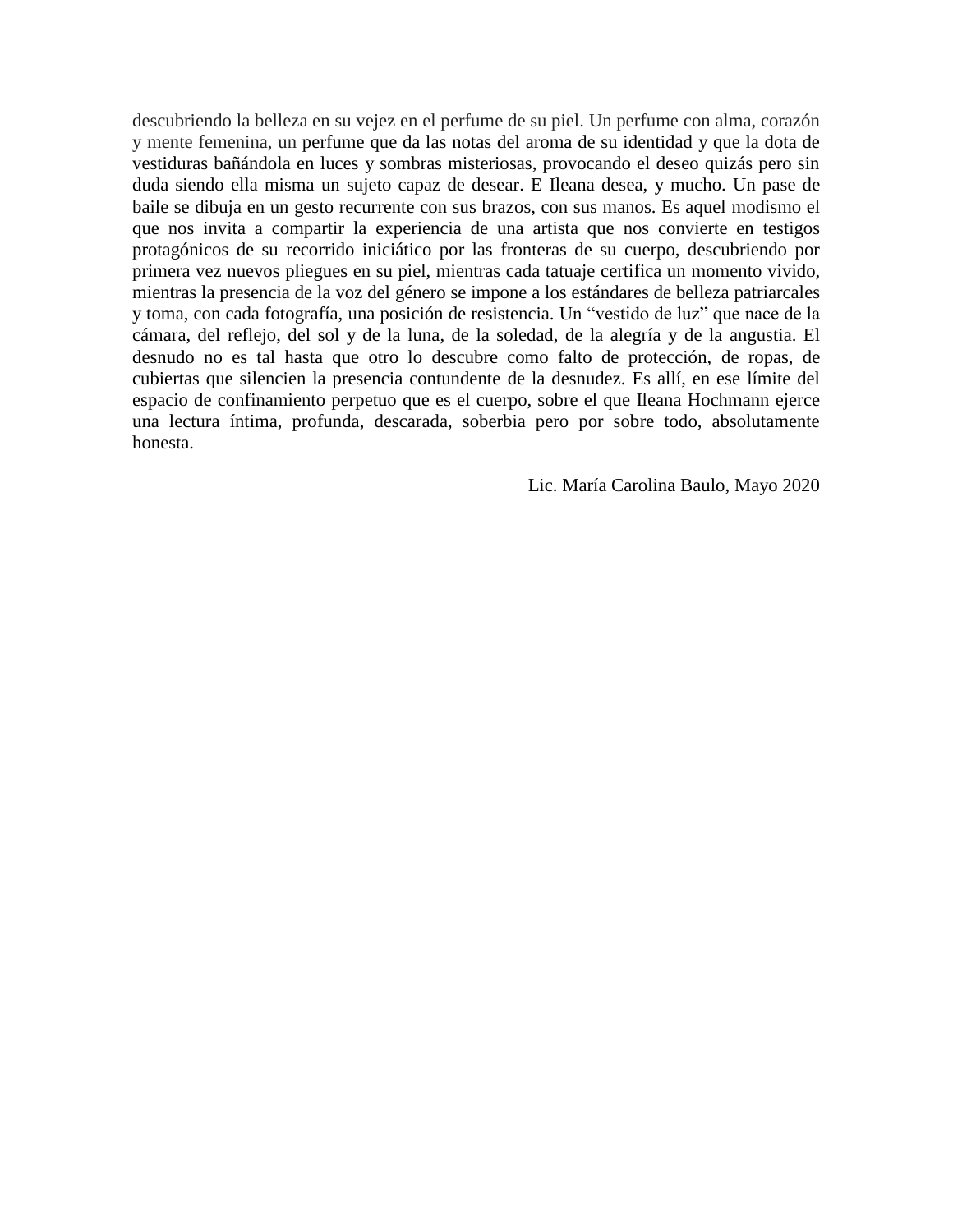descubriendo la belleza en su vejez en el perfume de su piel. Un perfume con alma, corazón y mente femenina, un perfume que da las notas del aroma de su identidad y que la dota de vestiduras bañándola en luces y sombras misteriosas, provocando el deseo quizás pero sin duda siendo ella misma un sujeto capaz de desear. E Ileana desea, y mucho. Un pase de baile se dibuja en un gesto recurrente con sus brazos, con sus manos. Es aquel modismo el que nos invita a compartir la experiencia de una artista que nos convierte en testigos protagónicos de su recorrido iniciático por las fronteras de su cuerpo, descubriendo por primera vez nuevos pliegues en su piel, mientras cada tatuaje certifica un momento vivido, mientras la presencia de la voz del género se impone a los estándares de belleza patriarcales y toma, con cada fotografía, una posición de resistencia. Un "vestido de luz" que nace de la cámara, del reflejo, del sol y de la luna, de la soledad, de la alegría y de la angustia. El desnudo no es tal hasta que otro lo descubre como falto de protección, de ropas, de cubiertas que silencien la presencia contundente de la desnudez. Es allí, en ese límite del espacio de confinamiento perpetuo que es el cuerpo, sobre el que Ileana Hochmann ejerce una lectura íntima, profunda, descarada, soberbia pero por sobre todo, absolutamente honesta.

Lic. María Carolina Baulo, Mayo 2020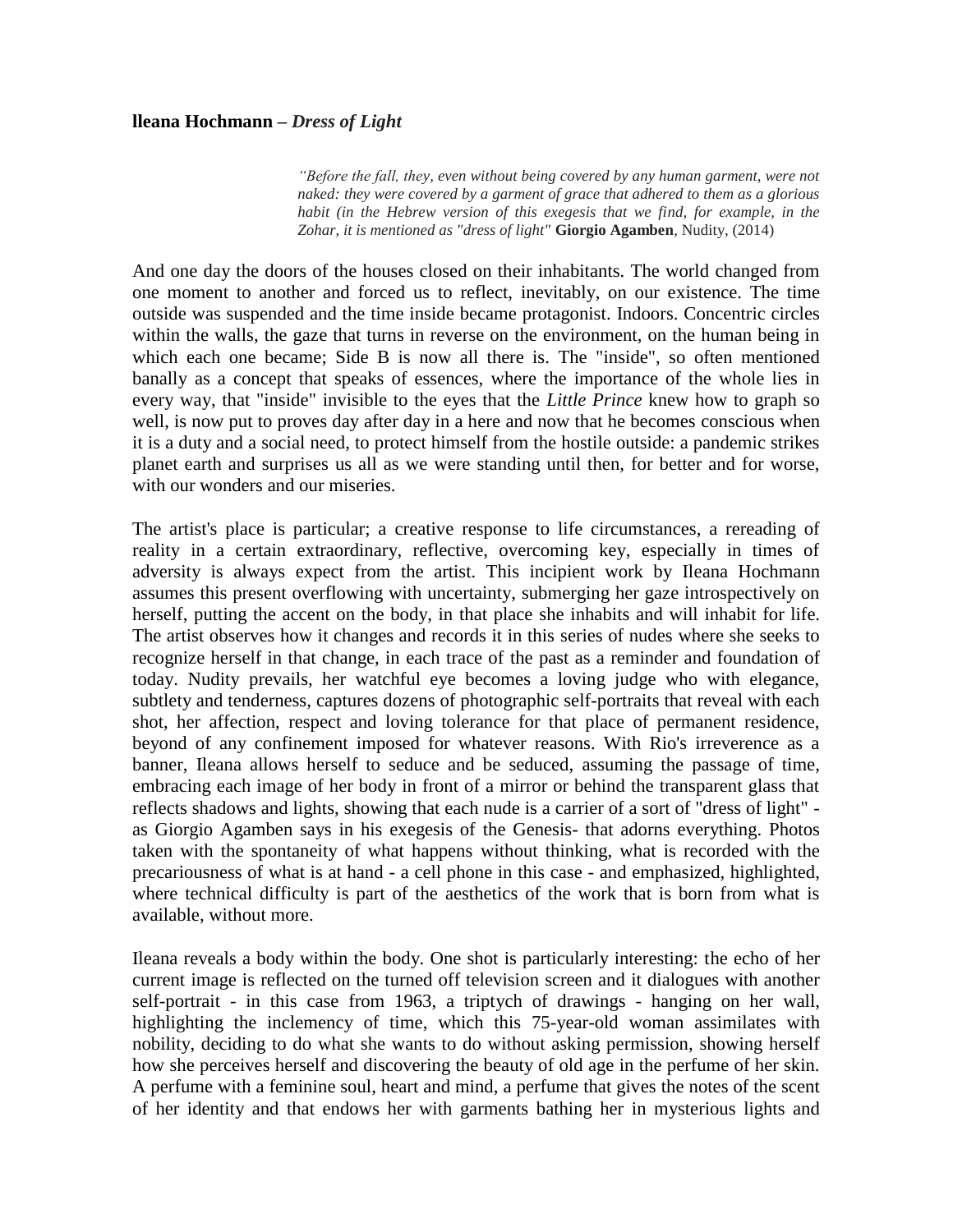## **lleana Hochmann –** *Dress of Light*

*"Before the fall, they, even without being covered by any human garment, were not naked: they were covered by a garment of grace that adhered to them as a glorious habit (in the Hebrew version of this exegesis that we find, for example, in the Zohar, it is mentioned as "dress of light"* **Giorgio Agamben**, Nudity, (2014)

And one day the doors of the houses closed on their inhabitants. The world changed from one moment to another and forced us to reflect, inevitably, on our existence. The time outside was suspended and the time inside became protagonist. Indoors. Concentric circles within the walls, the gaze that turns in reverse on the environment, on the human being in which each one became; Side B is now all there is. The "inside", so often mentioned banally as a concept that speaks of essences, where the importance of the whole lies in every way, that "inside" invisible to the eyes that the *Little Prince* knew how to graph so well, is now put to proves day after day in a here and now that he becomes conscious when it is a duty and a social need, to protect himself from the hostile outside: a pandemic strikes planet earth and surprises us all as we were standing until then, for better and for worse, with our wonders and our miseries.

The artist's place is particular; a creative response to life circumstances, a rereading of reality in a certain extraordinary, reflective, overcoming key, especially in times of adversity is always expect from the artist. This incipient work by Ileana Hochmann assumes this present overflowing with uncertainty, submerging her gaze introspectively on herself, putting the accent on the body, in that place she inhabits and will inhabit for life. The artist observes how it changes and records it in this series of nudes where she seeks to recognize herself in that change, in each trace of the past as a reminder and foundation of today. Nudity prevails, her watchful eye becomes a loving judge who with elegance, subtlety and tenderness, captures dozens of photographic self-portraits that reveal with each shot, her affection, respect and loving tolerance for that place of permanent residence, beyond of any confinement imposed for whatever reasons. With Rio's irreverence as a banner, Ileana allows herself to seduce and be seduced, assuming the passage of time, embracing each image of her body in front of a mirror or behind the transparent glass that reflects shadows and lights, showing that each nude is a carrier of a sort of "dress of light" as Giorgio Agamben says in his exegesis of the Genesis- that adorns everything. Photos taken with the spontaneity of what happens without thinking, what is recorded with the precariousness of what is at hand - a cell phone in this case - and emphasized, highlighted, where technical difficulty is part of the aesthetics of the work that is born from what is available, without more.

Ileana reveals a body within the body. One shot is particularly interesting: the echo of her current image is reflected on the turned off television screen and it dialogues with another self-portrait - in this case from 1963, a triptych of drawings - hanging on her wall, highlighting the inclemency of time, which this 75-year-old woman assimilates with nobility, deciding to do what she wants to do without asking permission, showing herself how she perceives herself and discovering the beauty of old age in the perfume of her skin. A perfume with a feminine soul, heart and mind, a perfume that gives the notes of the scent of her identity and that endows her with garments bathing her in mysterious lights and